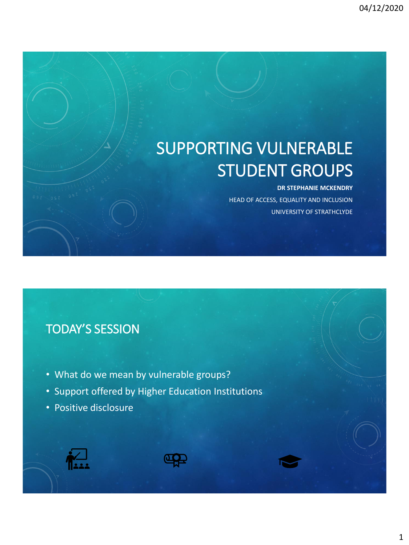# SUPPORTING VULNERABLE STUDENT GROUPS

#### **DR STEPHANIE MCKENDRY**

HEAD OF ACCESS, EQUALITY AND INCLUSION UNIVERSITY OF STRATHCLYDE

### TODAY'S SESSION

- What do we mean by vulnerable groups?
- Support offered by Higher Education Institutions
- Positive disclosure





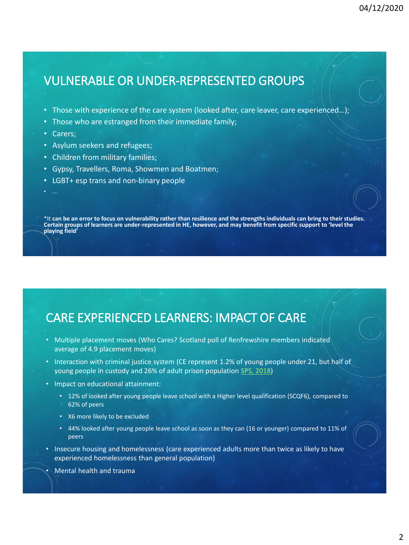### VULNERABLE OR UNDER-REPRESENTED GROUPS

- Those with experience of the care system (looked after, care leaver, care experienced...);
- Those who are estranged from their immediate family;
- Carers;
- Asylum seekers and refugees;
- Children from military families;
- Gypsy, Travellers, Roma, Showmen and Boatmen;
- LGBT+ esp trans and non-binary people

\*It **can be an error to focus on vulnerability rather than resilience and the strengths individuals can bring to their studies. Certain groups of learners are under-represented in HE, however, and may benefit from specific support to 'level the playing field'**

#### CARE EXPERIENCED LEARNERS: IMPACT OF CARE

- Multiple placement moves (Who Cares? Scotland poll of Renfrewshire members indicated average of 4.9 placement moves)
- Interaction with criminal justice system (CE represent 1.2% of young people under 21, but half of young people in custody and 26% of adult prison population [SPS, 2018\)](https://www.sps.gov.uk/Corporate/Publications/Publication-6087.aspx)
- Impact on educational attainment:
	- 12% of looked after young people leave school with a Higher level qualification (SCQF6), compared to 62% of peers
	- X6 more likely to be excluded
	- 44% looked after young people leave school as soon as they can (16 or younger) compared to 11% of peers
- Insecure housing and homelessness (care experienced adults more than twice as likely to have experienced homelessness than general population)
- Mental health and trauma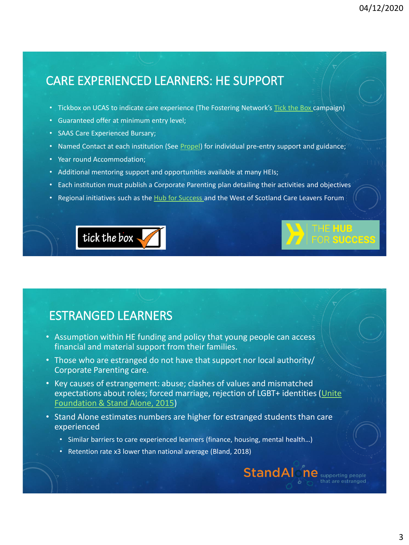**SUCCESS** 

**StandAl** ne supporting people

## CARE EXPERIENCED LEARNERS: HE SUPPORT

- Tickbox on UCAS to indicate care experience (The Fostering Network's [Tick the Box](https://www.thefosteringnetwork.org.uk/get-involved/our-campaigns/tick-box) campaign)
- Guaranteed offer at minimum entry level;
- SAAS Care Experienced Bursary;
- Named Contact at each institution (See [Propel](https://propel.org.uk/Search/)) for individual pre-entry support and guidance;
- Year round Accommodation;
- Additional mentoring support and opportunities available at many HEIs;
- Each institution must publish a Corporate Parenting plan detailing their activities and objectives
- Regional initiatives such as the [Hub for Success a](https://hubforsuccess.org/helpful-resources/)nd the West of Scotland Care Leavers Forum

# tick the box

## ESTRANGED LEARNERS

- Assumption within HE funding and policy that young people can access financial and material support from their families.
- Those who are estranged do not have that support nor local authority/ Corporate Parenting care.
- Key causes of estrangement: abuse; clashes of values and mismatched [expectations about roles; forced marriage, rejection of LGBT+ identities \(Unite](https://www.standalone.org.uk/wp-content/uploads/2013/08/StandAloneUNITEfoundation.pdf) Foundation & Stand Alone, 2015)
- Stand Alone estimates numbers are higher for estranged students than care experienced
	- Similar barriers to care experienced learners (finance, housing, mental health...)
	- Retention rate x3 lower than national average (Bland, 2018)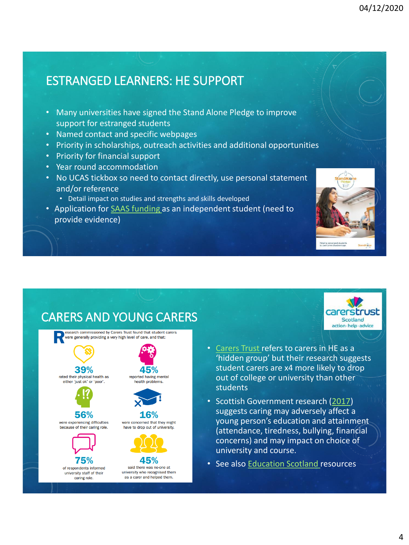# ESTRANGED LEARNERS: HE SUPPORT

- Many universities have signed the Stand Alone Pledge to improve support for estranged students
- Named contact and specific webpages
- Priority in scholarships, outreach activities and additional opportunities
- Priority for financial support
- Year round accommodation
- No UCAS tickbox so need to contact directly, use personal statement and/or reference
	- Detail impact on studies and strengths and skills developed
- Application for **SAAS** funding as an independent student (need to provide evidence)



carerstr Scotland action - help - advice

ust

#### CARERS AND YOUNG CARERS esearch commissioned by Carers Trust found that student carers were generally providing a very high level of care, and that: 39% 45% rated their physical health as reported having mental either 'just ok' or 'poor'. health problems. 56% 16% were experiencing difficulties were concerned that they might because of their caring role. have to drop out of university. 75% 45% of respondents informed

university staff of their caring role

said there was no-one at university who recognised them as a carer and helped them.

- [Carers Trust](https://carers.org/downloads/scotland-pdfs/goinghigherforstudentcarersrecognitionawardtoolkit.pdf) refers to carers in HE as a 'hidden group' but their research suggests student carers are x4 more likely to drop out of college or university than other students
- Scottish Government research [\(2017\)](https://www.gov.scot/publications/young-carers-review-research-data/pages/5/) suggests caring may adversely affect a young person's education and attainment (attendance, tiredness, bullying, financial concerns) and may impact on choice of university and course.
- See also [Education Scotland r](https://education.gov.scot/improvement/learning-resources/supporting-young-carers-in-education/)esources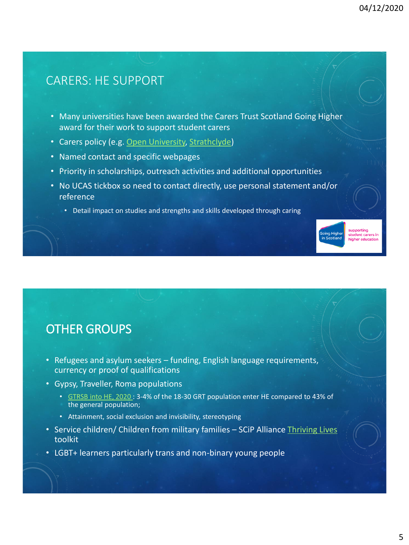student carers in inher educati

#### CARERS: HE SUPPORT

- Many universities have been awarded the Carers Trust Scotland Going Higher award for their work to support student carers
- Carers policy (e.g. [Open University,](https://help.open.ac.uk/documents/policies/student-carers) [Strathclyde](https://www.strath.ac.uk/professionalservices/media/ps/sees/wideningaccess/FINAL-Approved_Student_Carers_Policy_v1.1.pdf))
- Named contact and specific webpages
- Priority in scholarships, outreach activities and additional opportunities
- No UCAS tickbox so need to contact directly, use personal statement and/or reference
	- Detail impact on studies and strengths and skills developed through caring



- Refugees and asylum seekers funding, English language requirements, currency or proof of qualifications
- Gypsy, Traveller, Roma populations
	- [GTRSB into HE, 2020](https://bucks.ac.uk/about-us/gtrsb-into-higher-education-pledge/gtrsb-into-he-research) : 3-4% of the 18-30 GRT population enter HE compared to 43% of the general population;
	- Attainment, social exclusion and invisibility, stereotyping
- Service children/ Children from military families SCiP Alliance Thriving Lives toolkit
- LGBT+ learners particularly trans and non-binary young people